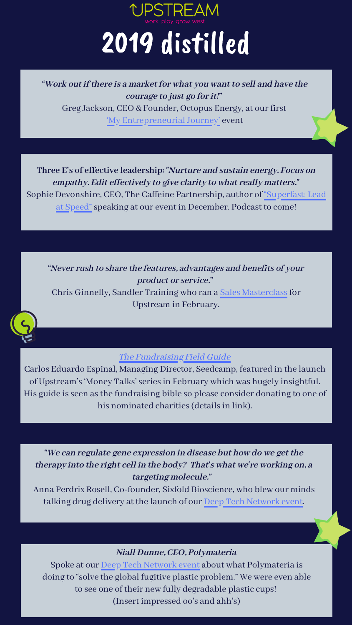"Work out if there is a market for what you want to sell and have the courage to just go for it!" Greg Jackson, CEO & Founder, Octopus Energy, at our first <u>'My [Entrepreneurial](https://www.move-upstream.org.uk/news_post/how-to-grow-your-business-from-0-to-1bn-in-4-years/) Journey'</u> event '

**Three E's of effective leadership:** "Nurture and sustain energy. Focus on empathy. Edit effectively to give clarity to what really matters." Sophie Devonshire, CEO, The Caffeine Partnership, author of "Superfast: Lead at Speed" speaking at our event in December. Podcast to come!

"Never rush to share the features, advantages and benefits of your product or service." Chris Ginnelly, Sandler Training who ran a Sales [Masterclassfor](https://www.move-upstream.org.uk/news_post/how-to-understand-build-trust-with-a-prospect-by-chris-ginnelly/) Upstream in February.

Carlos Eduardo Espinal, Managing Director, Seedcamp, featured in the launch of Upstream s 'Money Talks seriesin February which was hugely insightful. ' ' His guide is seen as the fundraising bible so please consider donating to one of his nominated charities (details in link).



"We can regulate gene expression in disease but how do we get the therapy into the right cell in the body? That's what we're working on, a targeting molecule."

Anna Perdrix Rosell, [Co-founder,](https://www.move-upstream.org.uk/news_post/deep-tech-network-launch-imperial-college-london-x-upstream-2/) Sixfold Bioscience, who blew our minds talking drug delivery at the launch of our Deep Tech Network event.

## Niall Dunne, CEO, [Polymateria](https://www.move-upstream.org.uk/news_post/deep-tech-network-launch-imperial-college-london-x-upstream-2/)

Spoke at our Deep Tech Network event about what Polymateria is doing to " solve the global fugitive plastic problem." We were even able to see one of their new fully degradable plastic cups! (Insert impressed oo s and ahh' s) '



## 2019 distilled